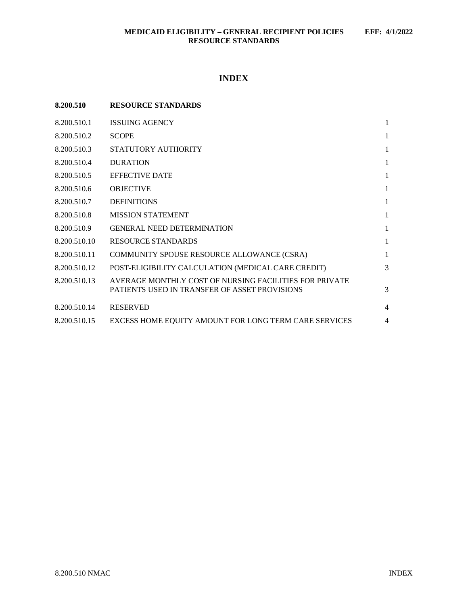# **INDEX**

| 8.200.510    | <b>RESOURCE STANDARDS</b>                                                                               |                |
|--------------|---------------------------------------------------------------------------------------------------------|----------------|
| 8.200.510.1  | <b>ISSUING AGENCY</b>                                                                                   | 1              |
| 8.200.510.2  | <b>SCOPE</b>                                                                                            | 1              |
| 8.200.510.3  | STATUTORY AUTHORITY                                                                                     | 1              |
| 8.200.510.4  | <b>DURATION</b>                                                                                         | 1              |
| 8.200.510.5  | <b>EFFECTIVE DATE</b>                                                                                   | 1              |
| 8.200.510.6  | <b>OBJECTIVE</b>                                                                                        | 1              |
| 8.200.510.7  | <b>DEFINITIONS</b>                                                                                      | 1              |
| 8.200.510.8  | <b>MISSION STATEMENT</b>                                                                                | 1              |
| 8.200.510.9  | <b>GENERAL NEED DETERMINATION</b>                                                                       | 1              |
| 8.200.510.10 | <b>RESOURCE STANDARDS</b>                                                                               | 1              |
| 8.200.510.11 | COMMUNITY SPOUSE RESOURCE ALLOWANCE (CSRA)                                                              | 1              |
| 8.200.510.12 | POST-ELIGIBILITY CALCULATION (MEDICAL CARE CREDIT)                                                      | 3              |
| 8.200.510.13 | AVERAGE MONTHLY COST OF NURSING FACILITIES FOR PRIVATE<br>PATIENTS USED IN TRANSFER OF ASSET PROVISIONS | 3              |
| 8.200.510.14 | <b>RESERVED</b>                                                                                         | $\overline{4}$ |
| 8.200.510.15 | EXCESS HOME EQUITY AMOUNT FOR LONG TERM CARE SERVICES                                                   | 4              |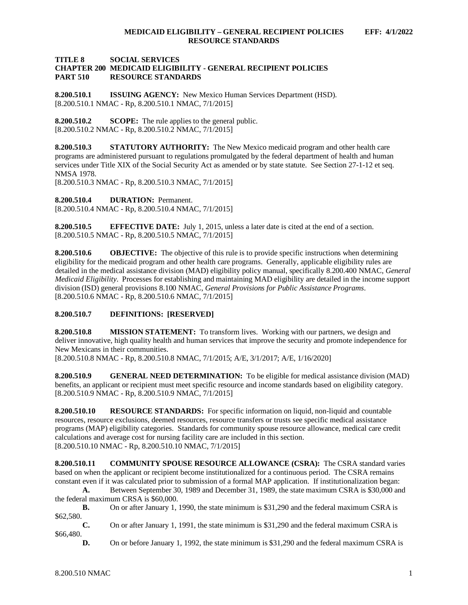## **TITLE 8 SOCIAL SERVICES CHAPTER 200 MEDICAID ELIGIBILITY - GENERAL RECIPIENT POLICIES RESOURCE STANDARDS**

<span id="page-1-0"></span>**8.200.510.1 ISSUING AGENCY:** New Mexico Human Services Department (HSD). [8.200.510.1 NMAC - Rp, 8.200.510.1 NMAC, 7/1/2015]

<span id="page-1-1"></span>**8.200.510.2 SCOPE:** The rule applies to the general public. [8.200.510.2 NMAC - Rp, 8.200.510.2 NMAC, 7/1/2015]

<span id="page-1-2"></span>**8.200.510.3 STATUTORY AUTHORITY:** The New Mexico medicaid program and other health care programs are administered pursuant to regulations promulgated by the federal department of health and human services under Title XIX of the Social Security Act as amended or by state statute. See Section 27-1-12 et seq. NMSA 1978.

[8.200.510.3 NMAC - Rp, 8.200.510.3 NMAC, 7/1/2015]

<span id="page-1-3"></span>**8.200.510.4 DURATION:** Permanent. [8.200.510.4 NMAC - Rp, 8.200.510.4 NMAC, 7/1/2015]

<span id="page-1-4"></span>**8.200.510.5 EFFECTIVE DATE:** July 1, 2015, unless a later date is cited at the end of a section. [8.200.510.5 NMAC - Rp, 8.200.510.5 NMAC, 7/1/2015]

<span id="page-1-5"></span>**8.200.510.6 OBJECTIVE:** The objective of this rule is to provide specific instructions when determining eligibility for the medicaid program and other health care programs. Generally, applicable eligibility rules are detailed in the medical assistance division (MAD) eligibility policy manual, specifically 8.200.400 NMAC, *General Medicaid Eligibility*. Processes for establishing and maintaining MAD eligibility are detailed in the income support division (ISD) general provisions 8.100 NMAC, *General Provisions for Public Assistance Programs*. [8.200.510.6 NMAC - Rp, 8.200.510.6 NMAC, 7/1/2015]

<span id="page-1-6"></span>**8.200.510.7 DEFINITIONS: [RESERVED]**

<span id="page-1-7"></span>**8.200.510.8 MISSION STATEMENT:** To transform lives. Working with our partners, we design and deliver innovative, high quality health and human services that improve the security and promote independence for New Mexicans in their communities.

[8.200.510.8 NMAC - Rp, 8.200.510.8 NMAC, 7/1/2015; A/E, 3/1/2017; A/E, 1/16/2020]

<span id="page-1-8"></span>**8.200.510.9 GENERAL NEED DETERMINATION:** To be eligible for medical assistance division (MAD) benefits, an applicant or recipient must meet specific resource and income standards based on eligibility category. [8.200.510.9 NMAC - Rp, 8.200.510.9 NMAC, 7/1/2015]

<span id="page-1-9"></span>**8.200.510.10 RESOURCE STANDARDS:** For specific information on liquid, non-liquid and countable resources, resource exclusions, deemed resources, resource transfers or trusts see specific medical assistance programs (MAP) eligibility categories. Standards for community spouse resource allowance, medical care credit calculations and average cost for nursing facility care are included in this section. [8.200.510.10 NMAC - Rp, 8.200.510.10 NMAC, 7/1/2015]

<span id="page-1-10"></span>**8.200.510.11 COMMUNITY SPOUSE RESOURCE ALLOWANCE (CSRA):** The CSRA standard varies based on when the applicant or recipient become institutionalized for a continuous period. The CSRA remains constant even if it was calculated prior to submission of a formal MAP application. If institutionalization began:

**A.** Between September 30, 1989 and December 31, 1989, the state maximum CSRA is \$30,000 and the federal maximum CRSA is \$60,000.

**B.** On or after January 1, 1990, the state minimum is \$31,290 and the federal maximum CSRA is \$62,580.

**C.** On or after January 1, 1991, the state minimum is \$31,290 and the federal maximum CSRA is \$66,480.

**D.** On or before January 1, 1992, the state minimum is \$31,290 and the federal maximum CSRA is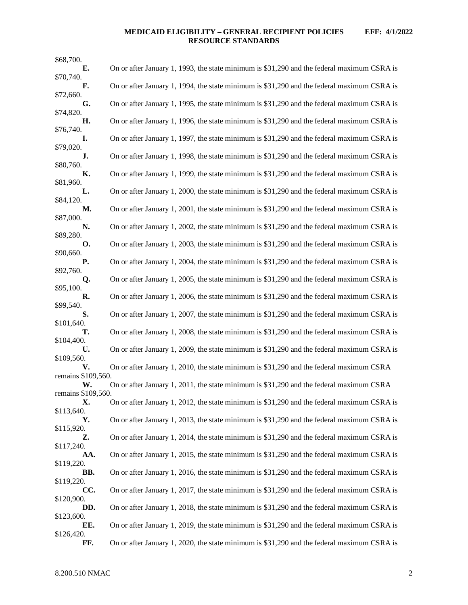## **MEDICAID ELIGIBILITY – GENERAL RECIPIENT POLICIES EFF: 4/1/2022 RESOURCE STANDARDS**

| \$68,700.                |                                                                                            |
|--------------------------|--------------------------------------------------------------------------------------------|
| Е.                       | On or after January 1, 1993, the state minimum is \$31,290 and the federal maximum CSRA is |
| \$70,740.<br>F.          | On or after January 1, 1994, the state minimum is \$31,290 and the federal maximum CSRA is |
| \$72,660.                |                                                                                            |
| G.                       | On or after January 1, 1995, the state minimum is \$31,290 and the federal maximum CSRA is |
| \$74,820.<br>Н.          | On or after January 1, 1996, the state minimum is \$31,290 and the federal maximum CSRA is |
| \$76,740.                |                                                                                            |
| I.<br>\$79,020.          | On or after January 1, 1997, the state minimum is \$31,290 and the federal maximum CSRA is |
| J.                       | On or after January 1, 1998, the state minimum is \$31,290 and the federal maximum CSRA is |
| \$80,760.                |                                                                                            |
| К.<br>\$81,960.          | On or after January 1, 1999, the state minimum is \$31,290 and the federal maximum CSRA is |
| L.                       | On or after January 1, 2000, the state minimum is \$31,290 and the federal maximum CSRA is |
| \$84,120.<br>М.          | On or after January 1, 2001, the state minimum is \$31,290 and the federal maximum CSRA is |
| \$87,000.                |                                                                                            |
| N.                       | On or after January 1, 2002, the state minimum is \$31,290 and the federal maximum CSRA is |
| \$89,280.<br>О.          | On or after January 1, 2003, the state minimum is \$31,290 and the federal maximum CSRA is |
| \$90,660.                |                                                                                            |
| Р.<br>\$92,760.          | On or after January 1, 2004, the state minimum is \$31,290 and the federal maximum CSRA is |
| Q.                       | On or after January 1, 2005, the state minimum is \$31,290 and the federal maximum CSRA is |
| \$95,100.                |                                                                                            |
| R.<br>\$99,540.          | On or after January 1, 2006, the state minimum is \$31,290 and the federal maximum CSRA is |
| S.                       | On or after January 1, 2007, the state minimum is \$31,290 and the federal maximum CSRA is |
| \$101,640.<br>т.         | On or after January 1, 2008, the state minimum is \$31,290 and the federal maximum CSRA is |
| \$104,400.               |                                                                                            |
| U.                       | On or after January 1, 2009, the state minimum is \$31,290 and the federal maximum CSRA is |
| \$109,560.<br>V.         | On or after January 1, 2010, the state minimum is \$31,290 and the federal maximum CSRA    |
| remains \$109,560.       |                                                                                            |
| W.<br>remains \$109,560. | On or after January 1, 2011, the state minimum is \$31,290 and the federal maximum CSRA    |
| Х.                       | On or after January 1, 2012, the state minimum is \$31,290 and the federal maximum CSRA is |
| \$113,640.               |                                                                                            |
| Υ.<br>\$115,920.         | On or after January 1, 2013, the state minimum is \$31,290 and the federal maximum CSRA is |
| Z.                       | On or after January 1, 2014, the state minimum is \$31,290 and the federal maximum CSRA is |
| \$117,240.<br>AA.        | On or after January 1, 2015, the state minimum is \$31,290 and the federal maximum CSRA is |
| \$119,220.               |                                                                                            |
| BB.                      | On or after January 1, 2016, the state minimum is \$31,290 and the federal maximum CSRA is |
| \$119,220.<br>CC.        | On or after January 1, 2017, the state minimum is \$31,290 and the federal maximum CSRA is |
| \$120,900.               |                                                                                            |
| DD.<br>\$123,600.        | On or after January 1, 2018, the state minimum is \$31,290 and the federal maximum CSRA is |
| EE.                      | On or after January 1, 2019, the state minimum is \$31,290 and the federal maximum CSRA is |
| \$126,420.<br>FF.        | On or after January 1, 2020, the state minimum is \$31,290 and the federal maximum CSRA is |
|                          |                                                                                            |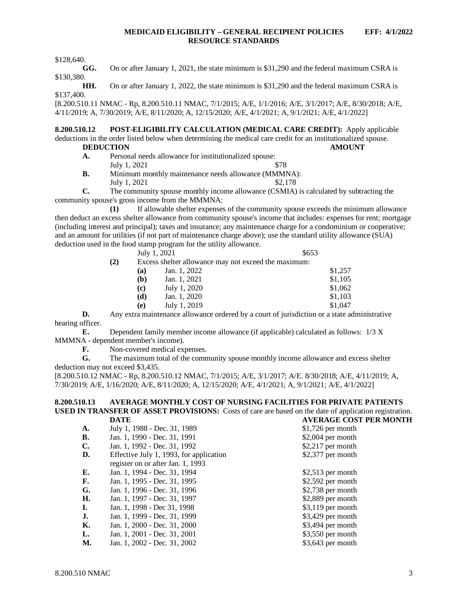## **MEDICAID ELIGIBILITY – GENERAL RECIPIENT POLICIES EFF: 4/1/2022 RESOURCE STANDARDS**

\$128,640.

**GG.** On or after January 1, 2021, the state minimum is \$31,290 and the federal maximum CSRA is \$130,380.

**HH.** On or after January 1, 2022, the state minimum is \$31,290 and the federal maximum CSRA is \$137,400.

[8.200.510.11 NMAC - Rp, 8.200.510.11 NMAC, 7/1/2015; A/E, 1/1/2016; A/E, 3/1/2017; A/E, 8/30/2018; A/E, 4/11/2019; A, 7/30/2019; A/E, 8/11/2020; A, 12/15/2020; A/E, 4/1/2021; A, 9/1/2021; A/E, 4/1/2022]

<span id="page-3-0"></span>**8.200.510.12 POST-ELIGIBILITY CALCULATION (MEDICAL CARE CREDIT):** Apply applicable deductions in the order listed below when determining the medical care credit for an institutionalized spouse.

## **DEDUCTION AMOUNT**

- **A.** Personal needs allowance for institutionalized spouse:  $July 1, 2021$  \$78
- **B.** Minimum monthly maintenance needs allowance (MMMNA): July 1, 2021  $\frac{$2,178}{2}$
- **C.** The community spouse monthly income allowance (CSMIA) is calculated by subtracting the community spouse's gross income from the MMMNA:

**(1)** If allowable shelter expenses of the community spouse exceeds the minimum allowance then deduct an excess shelter allowance from community spouse's income that includes: expenses for rent; mortgage (including interest and principal); taxes and insurance; any maintenance charge for a condominium or cooperative; and an amount for utilities (if not part of maintenance charge above); use the standard utility allowance (SUA) deduction used in the food stamp program for the utility allowance.

|     |     | July 1, 2021                                         | \$653   |  |
|-----|-----|------------------------------------------------------|---------|--|
| (2) |     | Excess shelter allowance may not exceed the maximum: |         |  |
|     | (a) | Jan. 1, 2022                                         | \$1,257 |  |
|     | (b) | Jan. 1, 2021                                         | \$1,105 |  |
|     | (c) | July 1, 2020                                         | \$1,062 |  |
|     | (d) | Jan. 1, 2020                                         | \$1,103 |  |
|     | (e) | July 1, 2019                                         | \$1,047 |  |

**D.** Any extra maintenance allowance ordered by a court of jurisdiction or a state administrative hearing officer.

**E.** Dependent family member income allowance (if applicable) calculated as follows: 1/3 X MMMNA - dependent member's income).

**F.** Non-covered medical expenses.<br>**G.** The maximum total of the comm

The maximum total of the community spouse monthly income allowance and excess shelter deduction may not exceed \$3,435.

[8.200.510.12 NMAC - Rp, 8.200.510.12 NMAC, 7/1/2015; A/E, 3/1/2017; A/E. 8/30/2018; A/E, 4/11/2019; A, 7/30/2019; A/E, 1/16/2020; A/E, 8/11/2020; A, 12/15/2020; A/E, 4/1/2021; A, 9/1/2021; A/E, 4/1/2022]

#### <span id="page-3-1"></span>**8.200.510.13 AVERAGE MONTHLY COST OF NURSING FACILITIES FOR PRIVATE PATIENTS USED IN TRANSFER OF ASSET PROVISIONS:** Costs of care are based on the date of application registration.<br> **DATE** AVERAGE COST PER MONTH **DATE AVERAGE COST PER MONTH**

| A.        | July 1, 1988 - Dec. 31, 1989            | $$1,726$ per month |
|-----------|-----------------------------------------|--------------------|
| В.        | Jan. 1, 1990 - Dec. 31, 1991            | $$2,004$ per month |
| C.        | Jan. 1, 1992 - Dec. 31, 1992            | $$2,217$ per month |
| D.        | Effective July 1, 1993, for application | $$2,377$ per month |
|           | register on or after Jan. 1, 1993       |                    |
| Е.        | Jan. 1, 1994 - Dec. 31, 1994            | $$2,513$ per month |
| <b>F.</b> | Jan. 1, 1995 - Dec. 31, 1995            | $$2,592$ per month |
| G.        | Jan. 1, 1996 - Dec. 31, 1996            | $$2,738$ per month |
| Н.        | Jan. 1, 1997 - Dec. 31, 1997            | $$2,889$ per month |
| Ι.        | Jan. 1, 1998 - Dec 31, 1998             | $$3,119$ per month |
| <b>J.</b> | Jan. 1, 1999 - Dec. 31, 1999            | $$3,429$ per month |
| К.        | Jan. 1, 2000 - Dec. 31, 2000            | \$3,494 per month  |
| L.        | Jan. 1, 2001 - Dec. 31, 2001            | $$3,550$ per month |
| М.        | Jan. 1, 2002 - Dec. 31, 2002            | $$3,643$ per month |
|           |                                         |                    |